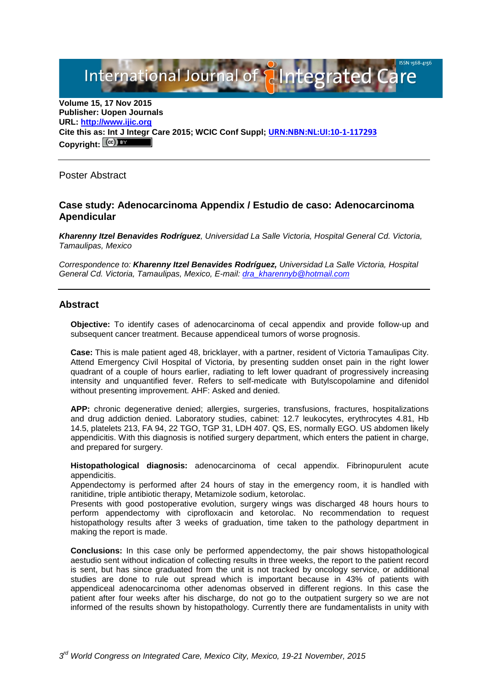International Journal of **Plintegrated Ca** 

**Volume 15, 17 Nov 2015 Publisher: Uopen Journals URL: [http://www.ijic.org](http://www.ijic.org/) Cite this as: Int J Integr Care 2015; WCIC Conf Suppl; [URN:NBN:NL:UI:10-1-117293](http://persistent-identifier.nl/?identifier=URN:NBN:NL:UI:10-1-117293) Copyright:**

Poster Abstract

### **Case study: Adenocarcinoma Appendix / Estudio de caso: Adenocarcinoma Apendicular**

*Kharenny Itzel Benavides Rodríguez, Universidad La Salle Victoria, Hospital General Cd. Victoria, Tamaulipas, Mexico*

*Correspondence to: Kharenny Itzel Benavides Rodríguez, Universidad La Salle Victoria, Hospital General Cd. Victoria, Tamaulipas, Mexico, E-mail: [dra\\_kharennyb@hotmail.com](mailto:dra_kharennyb@hotmail.com)*

### **Abstract**

**Objective:** To identify cases of adenocarcinoma of cecal appendix and provide follow-up and subsequent cancer treatment. Because appendiceal tumors of worse prognosis.

**Case:** This is male patient aged 48, bricklayer, with a partner, resident of Victoria Tamaulipas City. Attend Emergency Civil Hospital of Victoria, by presenting sudden onset pain in the right lower quadrant of a couple of hours earlier, radiating to left lower quadrant of progressively increasing intensity and unquantified fever. Refers to self-medicate with Butylscopolamine and difenidol without presenting improvement. AHF: Asked and denied.

**APP:** chronic degenerative denied; allergies, surgeries, transfusions, fractures, hospitalizations and drug addiction denied. Laboratory studies, cabinet: 12.7 leukocytes, erythrocytes 4.81, Hb 14.5, platelets 213, FA 94, 22 TGO, TGP 31, LDH 407. QS, ES, normally EGO. US abdomen likely appendicitis. With this diagnosis is notified surgery department, which enters the patient in charge, and prepared for surgery.

**Histopathological diagnosis:** adenocarcinoma of cecal appendix. Fibrinopurulent acute appendicitis.

Appendectomy is performed after 24 hours of stay in the emergency room, it is handled with ranitidine, triple antibiotic therapy, Metamizole sodium, ketorolac.

Presents with good postoperative evolution, surgery wings was discharged 48 hours hours to perform appendectomy with ciprofloxacin and ketorolac. No recommendation to request histopathology results after 3 weeks of graduation, time taken to the pathology department in making the report is made.

**Conclusions:** In this case only be performed appendectomy, the pair shows histopathological aestudio sent without indication of collecting results in three weeks, the report to the patient record is sent, but has since graduated from the unit is not tracked by oncology service, or additional studies are done to rule out spread which is important because in 43% of patients with appendiceal adenocarcinoma other adenomas observed in different regions. In this case the patient after four weeks after his discharge, do not go to the outpatient surgery so we are not informed of the results shown by histopathology. Currently there are fundamentalists in unity with